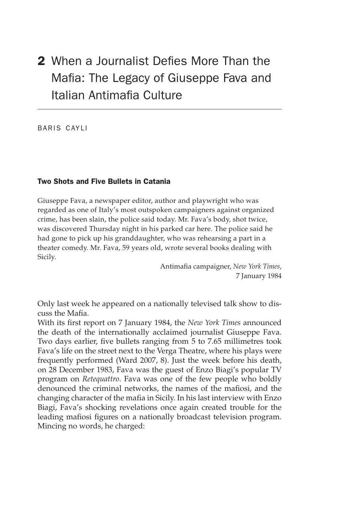# 2 When a Journalist Defies More Than the Mafia: The Legacy of Giuseppe Fava and Italian Antimafia Culture

baris cayli

## Two Shots and Five Bullets in Catania

Giuseppe Fava, a newspaper editor, author and playwright who was regarded as one of Italy's most outspoken campaigners against organized crime, has been slain, the police said today. Mr. Fava's body, shot twice, was discovered Thursday night in his parked car here. The police said he had gone to pick up his granddaughter, who was rehearsing a part in a theater comedy. Mr. Fava, 59 years old, wrote several books dealing with Sicily.

> Antimafia campaigner, *New York Times*, 7 January 1984

Only last week he appeared on a nationally televised talk show to discuss the Mafia.

With its first report on 7 January 1984, the *New York Times* announced the death of the internationally acclaimed journalist Giuseppe Fava. Two days earlier, five bullets ranging from 5 to 7.65 millimetres took Fava's life on the street next to the Verga Theatre, where his plays were frequently performed (Ward 2007, 8). Just the week before his death, on 28 December 1983, Fava was the guest of Enzo Biagi's popular TV program on *Retequattro*. Fava was one of the few people who boldly denounced the criminal networks, the names of the mafiosi, and the changing character of the mafia in Sicily. In his last interview with Enzo Biagi, Fava's shocking revelations once again created trouble for the leading mafiosi figures on a nationally broadcast television program. Mincing no words, he charged: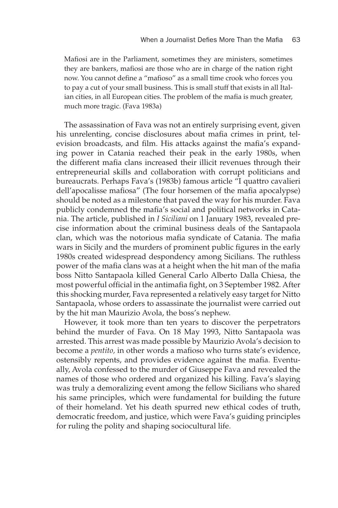Mafiosi are in the Parliament, sometimes they are ministers, sometimes they are bankers, mafiosi are those who are in charge of the nation right now. You cannot define a "mafioso" as a small time crook who forces you to pay a cut of your small business. This is small stuff that exists in all Italian cities, in all European cities. The problem of the mafia is much greater, much more tragic. (Fava 1983a)

The assassination of Fava was not an entirely surprising event, given his unrelenting, concise disclosures about mafia crimes in print, television broadcasts, and film. His attacks against the mafia's expanding power in Catania reached their peak in the early 1980s, when the different mafia clans increased their illicit revenues through their entrepreneurial skills and collaboration with corrupt politicians and bureaucrats. Perhaps Fava's (1983b) famous article "I quattro cavalieri dell'apocalisse mafiosa" (The four horsemen of the mafia apocalypse) should be noted as a milestone that paved the way for his murder. Fava publicly condemned the mafia's social and political networks in Catania. The article, published in *I Siciliani* on 1 January 1983, revealed precise information about the criminal business deals of the Santapaola clan, which was the notorious mafia syndicate of Catania. The mafia wars in Sicily and the murders of prominent public figures in the early 1980s created widespread despondency among Sicilians. The ruthless power of the mafia clans was at a height when the hit man of the mafia boss Nitto Santapaola killed General Carlo Alberto Dalla Chiesa, the most powerful official in the antimafia fight, on 3 September 1982. After this shocking murder, Fava represented a relatively easy target for Nitto Santapaola, whose orders to assassinate the journalist were carried out by the hit man Maurizio Avola, the boss's nephew.

However, it took more than ten years to discover the perpetrators behind the murder of Fava. On 18 May 1993, Nitto Santapaola was arrested. This arrest was made possible by Maurizio Avola's decision to become a *pentito,* in other words a mafioso who turns state's evidence, ostensibly repents, and provides evidence against the mafia. Eventually, Avola confessed to the murder of Giuseppe Fava and revealed the names of those who ordered and organized his killing. Fava's slaying was truly a demoralizing event among the fellow Sicilians who shared his same principles, which were fundamental for building the future of their homeland. Yet his death spurred new ethical codes of truth, democratic freedom, and justice, which were Fava's guiding principles for ruling the polity and shaping sociocultural life.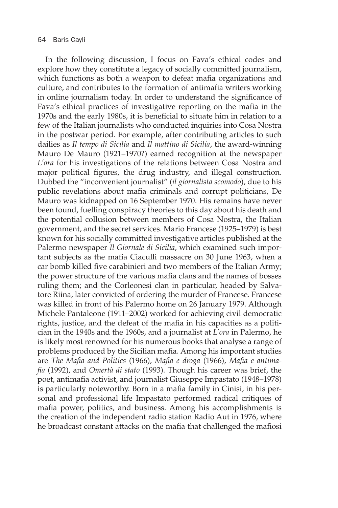In the following discussion, I focus on Fava's ethical codes and explore how they constitute a legacy of socially committed journalism, which functions as both a weapon to defeat mafia organizations and culture, and contributes to the formation of antimafia writers working in online journalism today. In order to understand the significance of Fava's ethical practices of investigative reporting on the mafia in the 1970s and the early 1980s, it is beneficial to situate him in relation to a few of the Italian journalists who conducted inquiries into Cosa Nostra in the postwar period. For example, after contributing articles to such dailies as *Il tempo di Sicilia* and *Il mattino di Sicilia*, the award-winning Mauro De Mauro (1921–1970?) earned recognition at the newspaper *L'ora* for his investigations of the relations between Cosa Nostra and major political figures, the drug industry, and illegal construction. Dubbed the "inconvenient journalist" (*il giornalista scomodo*), due to his public revelations about mafia criminals and corrupt politicians, De Mauro was kidnapped on 16 September 1970. His remains have never been found, fuelling conspiracy theories to this day about his death and the potential collusion between members of Cosa Nostra, the Italian government, and the secret services. Mario Francese (1925–1979) is best known for his socially committed investigative articles published at the Palermo newspaper *Il Giornale di Sicilia*, which examined such important subjects as the mafia Ciaculli massacre on 30 June 1963, when a car bomb killed five carabinieri and two members of the Italian Army; the power structure of the various mafia clans and the names of bosses ruling them; and the Corleonesi clan in particular, headed by Salvatore Riina, later convicted of ordering the murder of Francese. Francese was killed in front of his Palermo home on 26 January 1979. Although Michele Pantaleone (1911–2002) worked for achieving civil democratic rights, justice, and the defeat of the mafia in his capacities as a politician in the 1940s and the 1960s, and a journalist at *L'ora* in Palermo, he is likely most renowned for his numerous books that analyse a range of problems produced by the Sicilian mafia. Among his important studies are *The Mafia and Politics* (1966), *Mafia e droga* (1966), *Mafia e antimafia* (1992), and *Omertà di stato* (1993). Though his career was brief, the poet, antimafia activist, and journalist Giuseppe Impastato (1948–1978) is particularly noteworthy. Born in a mafia family in Cinisi, in his personal and professional life Impastato performed radical critiques of mafia power, politics, and business. Among his accomplishments is the creation of the independent radio station Radio Aut in 1976, where he broadcast constant attacks on the mafia that challenged the mafiosi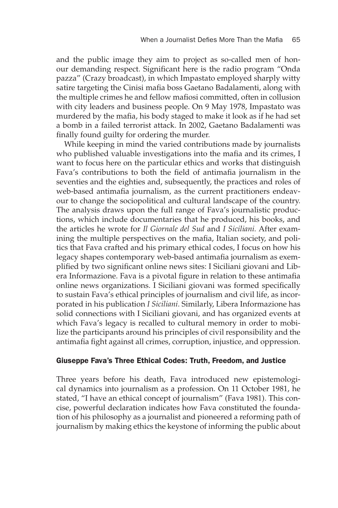and the public image they aim to project as so-called men of honour demanding respect. Significant here is the radio program "Onda pazza" (Crazy broadcast), in which Impastato employed sharply witty satire targeting the Cinisi mafia boss Gaetano Badalamenti, along with the multiple crimes he and fellow mafiosi committed, often in collusion with city leaders and business people. On 9 May 1978, Impastato was murdered by the mafia, his body staged to make it look as if he had set a bomb in a failed terrorist attack. In 2002, Gaetano Badalamenti was finally found guilty for ordering the murder.

While keeping in mind the varied contributions made by journalists who published valuable investigations into the mafia and its crimes, I want to focus here on the particular ethics and works that distinguish Fava's contributions to both the field of antimafia journalism in the seventies and the eighties and, subsequently, the practices and roles of web-based antimafia journalism, as the current practitioners endeavour to change the sociopolitical and cultural landscape of the country. The analysis draws upon the full range of Fava's journalistic productions, which include documentaries that he produced, his books, and the articles he wrote for *Il Giornale del Sud* and *I Siciliani.* After examining the multiple perspectives on the mafia, Italian society, and politics that Fava crafted and his primary ethical codes, I focus on how his legacy shapes contemporary web-based antimafia journalism as exemplified by two significant online news sites: I Siciliani giovani and Libera Informazione. Fava is a pivotal figure in relation to these antimafia online news organizations. I Siciliani giovani was formed specifically to sustain Fava's ethical principles of journalism and civil life, as incorporated in his publication *I Siciliani*. Similarly, Libera Informazione has solid connections with I Siciliani giovani, and has organized events at which Fava's legacy is recalled to cultural memory in order to mobilize the participants around his principles of civil responsibility and the antimafia fight against all crimes, corruption, injustice, and oppression.

### Giuseppe Fava's Three Ethical Codes: Truth, Freedom, and Justice

Three years before his death, Fava introduced new epistemological dynamics into journalism as a profession. On 11 October 1981, he stated, "I have an ethical concept of journalism" (Fava 1981). This concise, powerful declaration indicates how Fava constituted the foundation of his philosophy as a journalist and pioneered a reforming path of journalism by making ethics the keystone of informing the public about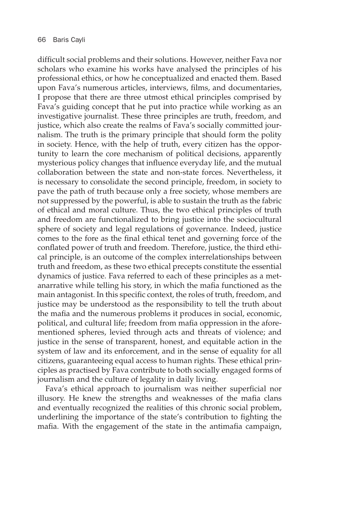difficult social problems and their solutions. However, neither Fava nor scholars who examine his works have analysed the principles of his professional ethics, or how he conceptualized and enacted them. Based upon Fava's numerous articles, interviews, films, and documentaries, I propose that there are three utmost ethical principles comprised by Fava's guiding concept that he put into practice while working as an investigative journalist. These three principles are truth, freedom, and justice, which also create the realms of Fava's socially committed journalism. The truth is the primary principle that should form the polity in society. Hence, with the help of truth, every citizen has the opportunity to learn the core mechanism of political decisions, apparently mysterious policy changes that influence everyday life, and the mutual collaboration between the state and non-state forces. Nevertheless, it is necessary to consolidate the second principle, freedom, in society to pave the path of truth because only a free society, whose members are not suppressed by the powerful, is able to sustain the truth as the fabric of ethical and moral culture. Thus, the two ethical principles of truth and freedom are functionalized to bring justice into the sociocultural sphere of society and legal regulations of governance. Indeed, justice comes to the fore as the final ethical tenet and governing force of the conflated power of truth and freedom. Therefore, justice, the third ethical principle, is an outcome of the complex interrelationships between truth and freedom, as these two ethical precepts constitute the essential dynamics of justice. Fava referred to each of these principles as a metanarrative while telling his story, in which the mafia functioned as the main antagonist. In this specific context, the roles of truth, freedom, and justice may be understood as the responsibility to tell the truth about the mafia and the numerous problems it produces in social, economic, political, and cultural life; freedom from mafia oppression in the aforementioned spheres, levied through acts and threats of violence; and justice in the sense of transparent, honest, and equitable action in the system of law and its enforcement, and in the sense of equality for all citizens, guaranteeing equal access to human rights. These ethical principles as practised by Fava contribute to both socially engaged forms of journalism and the culture of legality in daily living.

Fava's ethical approach to journalism was neither superficial nor illusory. He knew the strengths and weaknesses of the mafia clans and eventually recognized the realities of this chronic social problem, underlining the importance of the state's contribution to fighting the mafia. With the engagement of the state in the antimafia campaign,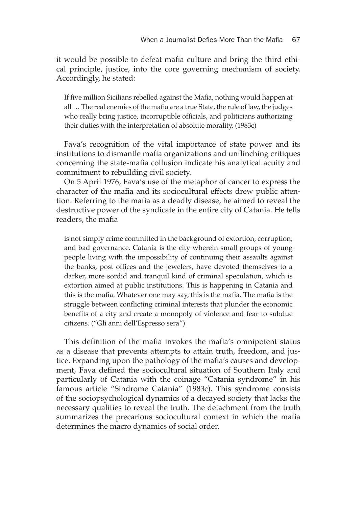it would be possible to defeat mafia culture and bring the third ethical principle, justice, into the core governing mechanism of society. Accordingly, he stated:

If five million Sicilians rebelled against the Mafia, nothing would happen at all … The real enemies of the mafia are a true State, the rule of law, the judges who really bring justice, incorruptible officials, and politicians authorizing their duties with the interpretation of absolute morality. (1983c)

Fava's recognition of the vital importance of state power and its institutions to dismantle mafia organizations and unflinching critiques concerning the state-mafia collusion indicate his analytical acuity and commitment to rebuilding civil society.

On 5 April 1976, Fava's use of the metaphor of cancer to express the character of the mafia and its sociocultural effects drew public attention. Referring to the mafia as a deadly disease, he aimed to reveal the destructive power of the syndicate in the entire city of Catania. He tells readers, the mafia

is not simply crime committed in the background of extortion, corruption, and bad governance. Catania is the city wherein small groups of young people living with the impossibility of continuing their assaults against the banks, post offices and the jewelers, have devoted themselves to a darker, more sordid and tranquil kind of criminal speculation, which is extortion aimed at public institutions. This is happening in Catania and this is the mafia. Whatever one may say, this is the mafia. The mafia is the struggle between conflicting criminal interests that plunder the economic benefits of a city and create a monopoly of violence and fear to subdue citizens. ("Gli anni dell'Espresso sera")

This definition of the mafia invokes the mafia's omnipotent status as a disease that prevents attempts to attain truth, freedom, and justice. Expanding upon the pathology of the mafia's causes and development, Fava defined the sociocultural situation of Southern Italy and particularly of Catania with the coinage "Catania syndrome" in his famous article "Sindrome Catania" (1983c). This syndrome consists of the sociopsychological dynamics of a decayed society that lacks the necessary qualities to reveal the truth. The detachment from the truth summarizes the precarious sociocultural context in which the mafia determines the macro dynamics of social order.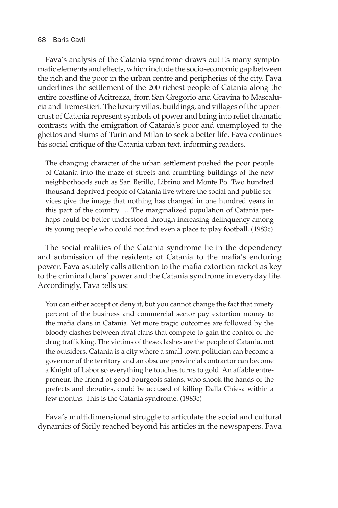#### 68 Baris Cayli

Fava's analysis of the Catania syndrome draws out its many symptomatic elements and effects, which include the socio-economic gap between the rich and the poor in the urban centre and peripheries of the city. Fava underlines the settlement of the 200 richest people of Catania along the entire coastline of Acitrezza, from San Gregorio and Gravina to Mascalucia and Tremestieri. The luxury villas, buildings, and villages of the uppercrust of Catania represent symbols of power and bring into relief dramatic contrasts with the emigration of Catania's poor and unemployed to the ghettos and slums of Turin and Milan to seek a better life. Fava continues his social critique of the Catania urban text, informing readers,

The changing character of the urban settlement pushed the poor people of Catania into the maze of streets and crumbling buildings of the new neighborhoods such as San Berillo, Librino and Monte Po. Two hundred thousand deprived people of Catania live where the social and public services give the image that nothing has changed in one hundred years in this part of the country … The marginalized population of Catania perhaps could be better understood through increasing delinquency among its young people who could not find even a place to play football. (1983c)

The social realities of the Catania syndrome lie in the dependency and submission of the residents of Catania to the mafia's enduring power. Fava astutely calls attention to the mafia extortion racket as key to the criminal clans' power and the Catania syndrome in everyday life. Accordingly, Fava tells us:

You can either accept or deny it, but you cannot change the fact that ninety percent of the business and commercial sector pay extortion money to the mafia clans in Catania. Yet more tragic outcomes are followed by the bloody clashes between rival clans that compete to gain the control of the drug trafficking. The victims of these clashes are the people of Catania, not the outsiders. Catania is a city where a small town politician can become a governor of the territory and an obscure provincial contractor can become a Knight of Labor so everything he touches turns to gold. An affable entrepreneur, the friend of good bourgeois salons, who shook the hands of the prefects and deputies, could be accused of killing Dalla Chiesa within a few months. This is the Catania syndrome. (1983c)

Fava's multidimensional struggle to articulate the social and cultural dynamics of Sicily reached beyond his articles in the newspapers. Fava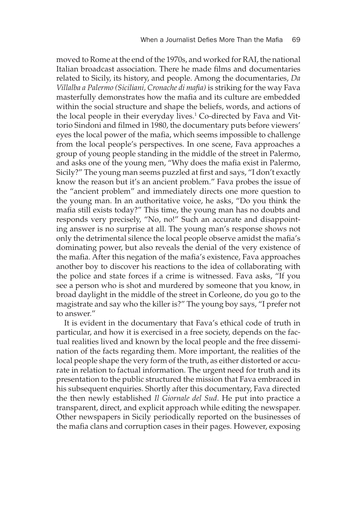moved to Rome at the end of the 1970s, and worked for RAI, the national Italian broadcast association. There he made films and documentaries related to Sicily, its history, and people. Among the documentaries, *Da Villalba a Palermo (Siciliani, Cronache di mafia)* is striking for the way Fava masterfully demonstrates how the mafia and its culture are embedded within the social structure and shape the beliefs, words, and actions of the local people in their everyday lives.<sup>1</sup> Co-directed by Fava and Vittorio Sindoni and filmed in 1980, the documentary puts before viewers' eyes the local power of the mafia, which seems impossible to challenge from the local people's perspectives. In one scene, Fava approaches a group of young people standing in the middle of the street in Palermo, and asks one of the young men, "Why does the mafia exist in Palermo, Sicily?" The young man seems puzzled at first and says, "I don't exactly know the reason but it's an ancient problem." Fava probes the issue of the "ancient problem" and immediately directs one more question to the young man. In an authoritative voice, he asks, "Do you think the mafia still exists today?" This time, the young man has no doubts and responds very precisely, "No, no!" Such an accurate and disappointing answer is no surprise at all. The young man's response shows not only the detrimental silence the local people observe amidst the mafia's dominating power, but also reveals the denial of the very existence of the mafia. After this negation of the mafia's existence, Fava approaches another boy to discover his reactions to the idea of collaborating with the police and state forces if a crime is witnessed. Fava asks, "If you see a person who is shot and murdered by someone that you know, in broad daylight in the middle of the street in Corleone, do you go to the magistrate and say who the killer is?" The young boy says, "I prefer not to answer."

It is evident in the documentary that Fava's ethical code of truth in particular, and how it is exercised in a free society, depends on the factual realities lived and known by the local people and the free dissemination of the facts regarding them. More important, the realities of the local people shape the very form of the truth, as either distorted or accurate in relation to factual information. The urgent need for truth and its presentation to the public structured the mission that Fava embraced in his subsequent enquiries. Shortly after this documentary, Fava directed the then newly established *Il Giornale del Sud*. He put into practice a transparent, direct, and explicit approach while editing the newspaper. Other newspapers in Sicily periodically reported on the businesses of the mafia clans and corruption cases in their pages. However, exposing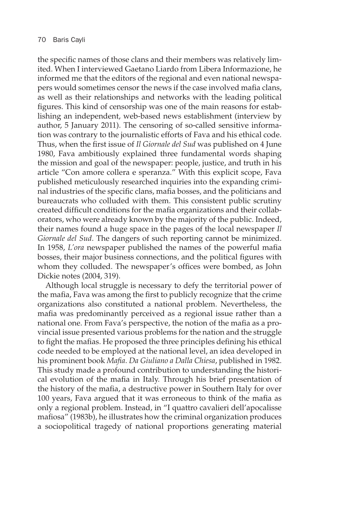the specific names of those clans and their members was relatively limited. When I interviewed Gaetano Liardo from Libera Informazione, he informed me that the editors of the regional and even national newspapers would sometimes censor the news if the case involved mafia clans, as well as their relationships and networks with the leading political figures. This kind of censorship was one of the main reasons for establishing an independent, web-based news establishment (interview by author, 5 January 2011). The censoring of so-called sensitive information was contrary to the journalistic efforts of Fava and his ethical code. Thus, when the first issue of *Il Giornale del Sud* was published on 4 June 1980, Fava ambitiously explained three fundamental words shaping the mission and goal of the newspaper: people, justice, and truth in his article "Con amore collera e speranza." With this explicit scope, Fava published meticulously researched inquiries into the expanding criminal industries of the specific clans, mafia bosses, and the politicians and bureaucrats who colluded with them. This consistent public scrutiny created difficult conditions for the mafia organizations and their collaborators, who were already known by the majority of the public. Indeed, their names found a huge space in the pages of the local newspaper *Il Giornale del Sud*. The dangers of such reporting cannot be minimized. In 1958, *L'ora* newspaper published the names of the powerful mafia bosses, their major business connections, and the political figures with whom they colluded. The newspaper's offices were bombed, as John Dickie notes (2004, 319).

Although local struggle is necessary to defy the territorial power of the mafia, Fava was among the first to publicly recognize that the crime organizations also constituted a national problem. Nevertheless, the mafia was predominantly perceived as a regional issue rather than a national one. From Fava's perspective, the notion of the mafia as a provincial issue presented various problems for the nation and the struggle to fight the mafias. He proposed the three principles defining his ethical code needed to be employed at the national level, an idea developed in his prominent book *Mafia*. *Da Giuliano a Dalla Chiesa*, published in 1982. This study made a profound contribution to understanding the historical evolution of the mafia in Italy. Through his brief presentation of the history of the mafia, a destructive power in Southern Italy for over 100 years, Fava argued that it was erroneous to think of the mafia as only a regional problem. Instead, in "I quattro cavalieri dell'apocalisse mafiosa" (1983b), he illustrates how the criminal organization produces a sociopolitical tragedy of national proportions generating material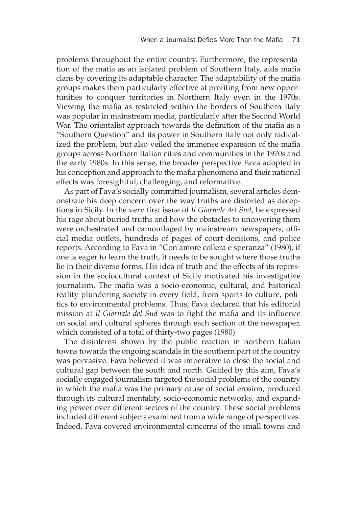problems throughout the entire country. Furthermore, the representation of the mafia as an isolated problem of Southern Italy, aids mafia clans by covering its adaptable character. The adaptability of the mafia groups makes them particularly effective at profiting from new opportunities to conquer territories in Northern Italy even in the 1970s. Viewing the mafia as restricted within the borders of Southern Italy was popular in mainstream media, particularly after the Second World War. The orientalist approach towards the definition of the mafia as a "Southern Question" and its power in Southern Italy not only radicalized the problem, but also veiled the immense expansion of the mafia groups across Northern Italian cities and communities in the 1970s and the early 1980s. In this sense, the broader perspective Fava adopted in his conception and approach to the mafia phenomena and their national effects was foresightful, challenging, and reformative.

As part of Fava's socially committed journalism, several articles demonstrate his deep concern over the way truths are distorted as deceptions in Sicily. In the very first issue of *Il Giornale del Sud*, he expressed his rage about buried truths and how the obstacles to uncovering them were orchestrated and camouflaged by mainstream newspapers, official media outlets, hundreds of pages of court decisions, and police reports. According to Fava in "Con amore collera e speranza" (1980), if one is eager to learn the truth, it needs to be sought where those truths lie in their diverse forms. His idea of truth and the effects of its repression in the sociocultural context of Sicily motivated his investigative journalism. The mafia was a socio-economic, cultural, and historical reality plundering society in every field, from sports to culture, politics to environmental problems. Thus, Fava declared that his editorial mission at *Il Giornale del Sud* was to fight the mafia and its influence on social and cultural spheres through each section of the newspaper, which consisted of a total of thirty-two pages (1980).

The disinterest shown by the public reaction in northern Italian towns towards the ongoing scandals in the southern part of the country was pervasive. Fava believed it was imperative to close the social and cultural gap between the south and north. Guided by this aim, Fava's socially engaged journalism targeted the social problems of the country in which the mafia was the primary cause of social erosion, produced through its cultural mentality, socio-economic networks, and expanding power over different sectors of the country. These social problems included different subjects examined from a wide range of perspectives. Indeed, Fava covered environmental concerns of the small towns and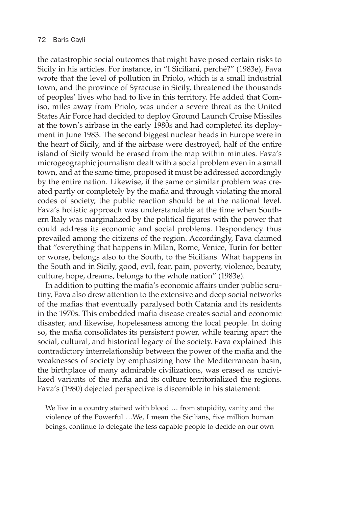the catastrophic social outcomes that might have posed certain risks to Sicily in his articles. For instance, in "I Siciliani, perché?" (1983e), Fava wrote that the level of pollution in Priolo, which is a small industrial town, and the province of Syracuse in Sicily, threatened the thousands of peoples' lives who had to live in this territory. He added that Comiso, miles away from Priolo, was under a severe threat as the United States Air Force had decided to deploy Ground Launch Cruise Missiles at the town's airbase in the early 1980s and had completed its deployment in June 1983. The second biggest nuclear heads in Europe were in the heart of Sicily, and if the airbase were destroyed, half of the entire island of Sicily would be erased from the map within minutes. Fava's microgeographic journalism dealt with a social problem even in a small town, and at the same time, proposed it must be addressed accordingly by the entire nation. Likewise, if the same or similar problem was created partly or completely by the mafia and through violating the moral codes of society, the public reaction should be at the national level. Fava's holistic approach was understandable at the time when Southern Italy was marginalized by the political figures with the power that could address its economic and social problems. Despondency thus prevailed among the citizens of the region. Accordingly, Fava claimed that "everything that happens in Milan, Rome, Venice, Turin for better or worse, belongs also to the South, to the Sicilians. What happens in the South and in Sicily, good, evil, fear, pain, poverty, violence, beauty, culture, hope, dreams, belongs to the whole nation" (1983e).

In addition to putting the mafia's economic affairs under public scrutiny, Fava also drew attention to the extensive and deep social networks of the mafias that eventually paralysed both Catania and its residents in the 1970s. This embedded mafia disease creates social and economic disaster, and likewise, hopelessness among the local people. In doing so, the mafia consolidates its persistent power, while tearing apart the social, cultural, and historical legacy of the society. Fava explained this contradictory interrelationship between the power of the mafia and the weaknesses of society by emphasizing how the Mediterranean basin, the birthplace of many admirable civilizations, was erased as uncivilized variants of the mafia and its culture territorialized the regions. Fava's (1980) dejected perspective is discernible in his statement:

We live in a country stained with blood … from stupidity, vanity and the violence of the Powerful …We, I mean the Sicilians, five million human beings, continue to delegate the less capable people to decide on our own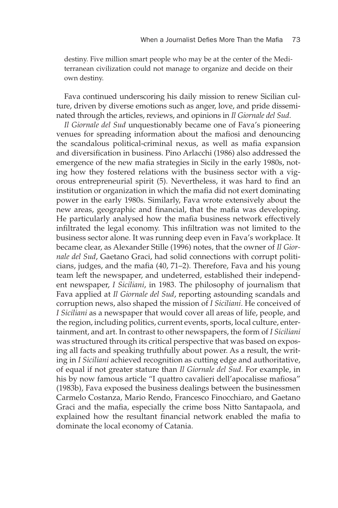destiny. Five million smart people who may be at the center of the Mediterranean civilization could not manage to organize and decide on their own destiny.

Fava continued underscoring his daily mission to renew Sicilian culture, driven by diverse emotions such as anger, love, and pride disseminated through the articles, reviews, and opinions in *Il Giornale del Sud*.

*Il Giornale del Sud* unquestionably became one of Fava's pioneering venues for spreading information about the mafiosi and denouncing the scandalous political-criminal nexus, as well as mafia expansion and diversification in business. Pino Arlacchi (1986) also addressed the emergence of the new mafia strategies in Sicily in the early 1980s, noting how they fostered relations with the business sector with a vigorous entrepreneurial spirit (5). Nevertheless, it was hard to find an institution or organization in which the mafia did not exert dominating power in the early 1980s. Similarly, Fava wrote extensively about the new areas, geographic and financial, that the mafia was developing. He particularly analysed how the mafia business network effectively infiltrated the legal economy. This infiltration was not limited to the business sector alone. It was running deep even in Fava's workplace. It became clear, as Alexander Stille (1996) notes, that the owner of *Il Giornale del Sud*, Gaetano Graci, had solid connections with corrupt politicians, judges, and the mafia (40, 71–2). Therefore, Fava and his young team left the newspaper, and undeterred, established their independent newspaper, *I Siciliani*, in 1983. The philosophy of journalism that Fava applied at *Il Giornale del Sud*, reporting astounding scandals and corruption news, also shaped the mission of *I Siciliani*. He conceived of *I Siciliani* as a newspaper that would cover all areas of life, people, and the region, including politics, current events, sports, local culture, entertainment, and art. In contrast to other newspapers, the form of *I Siciliani* was structured through its critical perspective that was based on exposing all facts and speaking truthfully about power. As a result, the writing in *I Siciliani* achieved recognition as cutting edge and authoritative, of equal if not greater stature than *Il Giornale del Sud*. For example, in his by now famous article "I quattro cavalieri dell'apocalisse mafiosa" (1983b), Fava exposed the business dealings between the businessmen Carmelo Costanza, Mario Rendo, Francesco Finocchiaro, and Gaetano Graci and the mafia, especially the crime boss Nitto Santapaola, and explained how the resultant financial network enabled the mafia to dominate the local economy of Catania.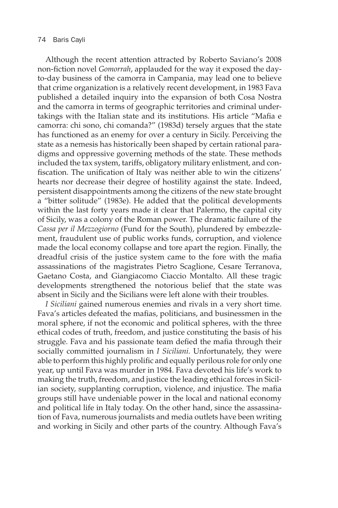#### 74 Baris Cayli

Although the recent attention attracted by Roberto Saviano's 2008 non-fiction novel *Gomorrah*, applauded for the way it exposed the dayto-day business of the camorra in Campania, may lead one to believe that crime organization is a relatively recent development, in 1983 Fava published a detailed inquiry into the expansion of both Cosa Nostra and the camorra in terms of geographic territories and criminal undertakings with the Italian state and its institutions. His article "Mafia e camorra: chi sono, chi comanda?" (1983d) tersely argues that the state has functioned as an enemy for over a century in Sicily. Perceiving the state as a nemesis has historically been shaped by certain rational paradigms and oppressive governing methods of the state. These methods included the tax system, tariffs, obligatory military enlistment, and confiscation. The unification of Italy was neither able to win the citizens' hearts nor decrease their degree of hostility against the state. Indeed, persistent disappointments among the citizens of the new state brought a "bitter solitude" (1983e). He added that the political developments within the last forty years made it clear that Palermo, the capital city of Sicily, was a colony of the Roman power. The dramatic failure of the *Cassa per il Mezzogiorno* (Fund for the South), plundered by embezzlement, fraudulent use of public works funds, corruption, and violence made the local economy collapse and tore apart the region. Finally, the dreadful crisis of the justice system came to the fore with the mafia assassinations of the magistrates Pietro Scaglione, Cesare Terranova, Gaetano Costa, and Giangiacomo Ciaccio Montalto. All these tragic developments strengthened the notorious belief that the state was absent in Sicily and the Sicilians were left alone with their troubles.

*I Siciliani* gained numerous enemies and rivals in a very short time. Fava's articles defeated the mafias, politicians, and businessmen in the moral sphere, if not the economic and political spheres, with the three ethical codes of truth, freedom, and justice constituting the basis of his struggle. Fava and his passionate team defied the mafia through their socially committed journalism in *I Siciliani.* Unfortunately, they were able to perform this highly prolific and equally perilous role for only one year, up until Fava was murder in 1984. Fava devoted his life's work to making the truth, freedom, and justice the leading ethical forces in Sicilian society, supplanting corruption, violence, and injustice. The mafia groups still have undeniable power in the local and national economy and political life in Italy today. On the other hand, since the assassination of Fava, numerous journalists and media outlets have been writing and working in Sicily and other parts of the country. Although Fava's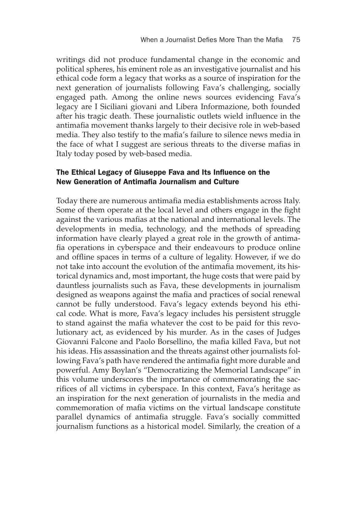writings did not produce fundamental change in the economic and political spheres, his eminent role as an investigative journalist and his ethical code form a legacy that works as a source of inspiration for the next generation of journalists following Fava's challenging, socially engaged path. Among the online news sources evidencing Fava's legacy are I Siciliani giovani and Libera Informazione, both founded after his tragic death. These journalistic outlets wield influence in the antimafia movement thanks largely to their decisive role in web-based media. They also testify to the mafia's failure to silence news media in the face of what I suggest are serious threats to the diverse mafias in Italy today posed by web-based media.

## The Ethical Legacy of Giuseppe Fava and Its Influence on the New Generation of Antimafia Journalism and Culture

Today there are numerous antimafia media establishments across Italy. Some of them operate at the local level and others engage in the fight against the various mafias at the national and international levels. The developments in media, technology, and the methods of spreading information have clearly played a great role in the growth of antimafia operations in cyberspace and their endeavours to produce online and offline spaces in terms of a culture of legality. However, if we do not take into account the evolution of the antimafia movement, its historical dynamics and, most important, the huge costs that were paid by dauntless journalists such as Fava, these developments in journalism designed as weapons against the mafia and practices of social renewal cannot be fully understood. Fava's legacy extends beyond his ethical code. What is more, Fava's legacy includes his persistent struggle to stand against the mafia whatever the cost to be paid for this revolutionary act, as evidenced by his murder. As in the cases of Judges Giovanni Falcone and Paolo Borsellino, the mafia killed Fava, but not his ideas. His assassination and the threats against other journalists following Fava's path have rendered the antimafia fight more durable and powerful. Amy Boylan's "Democratizing the Memorial Landscape" in this volume underscores the importance of commemorating the sacrifices of all victims in cyberspace. In this context, Fava's heritage as an inspiration for the next generation of journalists in the media and commemoration of mafia victims on the virtual landscape constitute parallel dynamics of antimafia struggle. Fava's socially committed journalism functions as a historical model. Similarly, the creation of a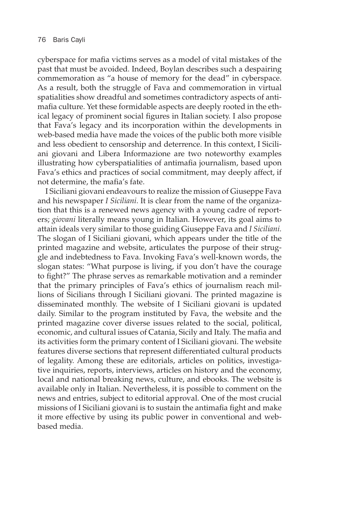cyberspace for mafia victims serves as a model of vital mistakes of the past that must be avoided. Indeed, Boylan describes such a despairing commemoration as "a house of memory for the dead" in cyberspace. As a result, both the struggle of Fava and commemoration in virtual spatialities show dreadful and sometimes contradictory aspects of antimafia culture. Yet these formidable aspects are deeply rooted in the ethical legacy of prominent social figures in Italian society. I also propose that Fava's legacy and its incorporation within the developments in web-based media have made the voices of the public both more visible and less obedient to censorship and deterrence. In this context, I Siciliani giovani and Libera Informazione are two noteworthy examples illustrating how cyberspatialities of antimafia journalism, based upon Fava's ethics and practices of social commitment, may deeply affect, if not determine, the mafia's fate.

I Siciliani giovani endeavours to realize the mission of Giuseppe Fava and his newspaper *I Siciliani*. It is clear from the name of the organization that this is a renewed news agency with a young cadre of reporters; *giovani* literally means young in Italian. However, its goal aims to attain ideals very similar to those guiding Giuseppe Fava and *I Siciliani.* The slogan of I Siciliani giovani, which appears under the title of the printed magazine and website, articulates the purpose of their struggle and indebtedness to Fava. Invoking Fava's well-known words, the slogan states: "What purpose is living, if you don't have the courage to fight?" The phrase serves as remarkable motivation and a reminder that the primary principles of Fava's ethics of journalism reach millions of Sicilians through I Siciliani giovani. The printed magazine is disseminated monthly. The website of I Siciliani giovani is updated daily. Similar to the program instituted by Fava, the website and the printed magazine cover diverse issues related to the social, political, economic, and cultural issues of Catania, Sicily and Italy. The mafia and its activities form the primary content of I Siciliani giovani. The website features diverse sections that represent differentiated cultural products of legality. Among these are editorials, articles on politics, investigative inquiries, reports, interviews, articles on history and the economy, local and national breaking news, culture, and ebooks. The website is available only in Italian. Nevertheless, it is possible to comment on the news and entries, subject to editorial approval. One of the most crucial missions of I Siciliani giovani is to sustain the antimafia fight and make it more effective by using its public power in conventional and webbased media.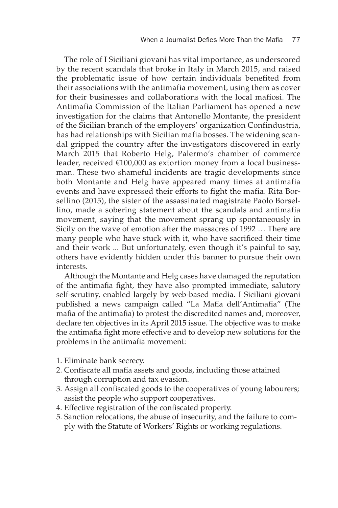The role of I Siciliani giovani has vital importance, as underscored by the recent scandals that broke in Italy in March 2015, and raised the problematic issue of how certain individuals benefited from their associations with the antimafia movement, using them as cover for their businesses and collaborations with the local mafiosi. The Antimafia Commission of the Italian Parliament has opened a new investigation for the claims that Antonello Montante, the president of the Sicilian branch of the employers' organization Confindustria, has had relationships with Sicilian mafia bosses. The widening scandal gripped the country after the investigators discovered in early March 2015 that Roberto Helg, Palermo's chamber of commerce leader, received €100,000 as extortion money from a local businessman. These two shameful incidents are tragic developments since both Montante and Helg have appeared many times at antimafia events and have expressed their efforts to fight the mafia. Rita Borsellino (2015), the sister of the assassinated magistrate Paolo Borsellino, made a sobering statement about the scandals and antimafia movement, saying that the movement sprang up spontaneously in Sicily on the wave of emotion after the massacres of 1992 … There are many people who have stuck with it, who have sacrificed their time and their work ... But unfortunately, even though it's painful to say, others have evidently hidden under this banner to pursue their own interests.

Although the Montante and Helg cases have damaged the reputation of the antimafia fight, they have also prompted immediate, salutory self-scrutiny, enabled largely by web-based media. I Siciliani giovani published a news campaign called "La Mafia dell'Antimafia" (The mafia of the antimafia) to protest the discredited names and, moreover, declare ten objectives in its April 2015 issue. The objective was to make the antimafia fight more effective and to develop new solutions for the problems in the antimafia movement:

- 1. Eliminate bank secrecy.
- 2. Confiscate all mafia assets and goods, including those attained through corruption and tax evasion.
- 3. Assign all confiscated goods to the cooperatives of young labourers; assist the people who support cooperatives.
- 4. Effective registration of the confiscated property.
- 5. Sanction relocations, the abuse of insecurity, and the failure to comply with the Statute of Workers' Rights or working regulations.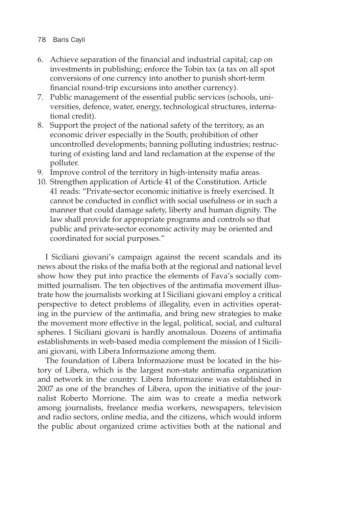## 78 Baris Cayli

- 6. Achieve separation of the financial and industrial capital; cap on investments in publishing; enforce the Tobin tax (a tax on all spot conversions of one currency into another to punish short-term financial round-trip excursions into another currency).
- 7. Public management of the essential public services (schools, universities, defence, water, energy, technological structures, international credit).
- 8. Support the project of the national safety of the territory, as an economic driver especially in the South; prohibition of other uncontrolled developments; banning polluting industries; restructuring of existing land and land reclamation at the expense of the polluter.
- 9. Improve control of the territory in high-intensity mafia areas.
- 10. Strengthen application of Article 41 of the Constitution. Article 41 reads: "Private-sector economic initiative is freely exercised. It cannot be conducted in conflict with social usefulness or in such a manner that could damage safety, liberty and human dignity. The law shall provide for appropriate programs and controls so that public and private-sector economic activity may be oriented and coordinated for social purposes."

I Siciliani giovani's campaign against the recent scandals and its news about the risks of the mafia both at the regional and national level show how they put into practice the elements of Fava's socially committed journalism. The ten objectives of the antimafia movement illustrate how the journalists working at I Siciliani giovani employ a critical perspective to detect problems of illegality, even in activities operating in the purview of the antimafia, and bring new strategies to make the movement more effective in the legal, political, social, and cultural spheres. I Siciliani giovani is hardly anomalous. Dozens of antimafia establishments in web-based media complement the mission of I Siciliani giovani, with Libera Informazione among them.

The foundation of Libera Informazione must be located in the history of Libera, which is the largest non-state antimafia organization and network in the country. Libera Informazione was established in 2007 as one of the branches of Libera, upon the initiative of the journalist Roberto Morrione. The aim was to create a media network among journalists, freelance media workers, newspapers, television and radio sectors, online media, and the citizens, which would inform the public about organized crime activities both at the national and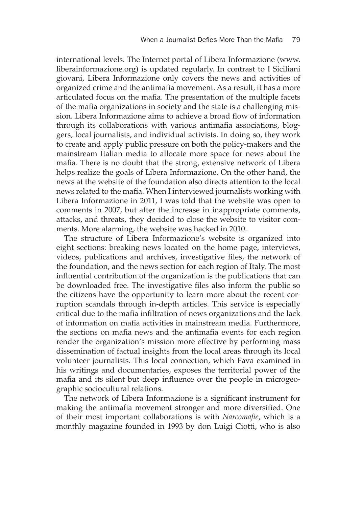international levels. The Internet portal of Libera Informazione (www. liberainformazione.org) is updated regularly. In contrast to I Siciliani giovani, Libera Informazione only covers the news and activities of organized crime and the antimafia movement. As a result, it has a more articulated focus on the mafia. The presentation of the multiple facets of the mafia organizations in society and the state is a challenging mission. Libera Informazione aims to achieve a broad flow of information through its collaborations with various antimafia associations, bloggers, local journalists, and individual activists. In doing so, they work to create and apply public pressure on both the policy-makers and the mainstream Italian media to allocate more space for news about the mafia. There is no doubt that the strong, extensive network of Libera helps realize the goals of Libera Informazione. On the other hand, the news at the website of the foundation also directs attention to the local news related to the mafia. When I interviewed journalists working with Libera Informazione in 2011, I was told that the website was open to comments in 2007, but after the increase in inappropriate comments, attacks, and threats, they decided to close the website to visitor comments. More alarming, the website was hacked in 2010.

The structure of Libera Informazione's website is organized into eight sections: breaking news located on the home page, interviews, videos, publications and archives, investigative files, the network of the foundation, and the news section for each region of Italy. The most influential contribution of the organization is the publications that can be downloaded free. The investigative files also inform the public so the citizens have the opportunity to learn more about the recent corruption scandals through in-depth articles. This service is especially critical due to the mafia infiltration of news organizations and the lack of information on mafia activities in mainstream media. Furthermore, the sections on mafia news and the antimafia events for each region render the organization's mission more effective by performing mass dissemination of factual insights from the local areas through its local volunteer journalists. This local connection, which Fava examined in his writings and documentaries, exposes the territorial power of the mafia and its silent but deep influence over the people in microgeographic sociocultural relations.

The network of Libera Informazione is a significant instrument for making the antimafia movement stronger and more diversified. One of their most important collaborations is with *Narcomafie*, which is a monthly magazine founded in 1993 by don Luigi Ciotti, who is also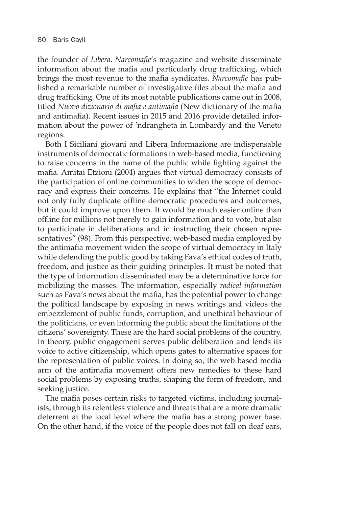the founder of *Libera*. *Narcomafie*'s magazine and website disseminate information about the mafia and particularly drug trafficking, which brings the most revenue to the mafia syndicates. *Narcomafie* has published a remarkable number of investigative files about the mafia and drug trafficking. One of its most notable publications came out in 2008, titled *Nuovo dizionario di mafia e antimafia* (New dictionary of the mafia and antimafia). Recent issues in 2015 and 2016 provide detailed information about the power of 'ndrangheta in Lombardy and the Veneto regions.

Both I Siciliani giovani and Libera Informazione are indispensable instruments of democratic formations in web-based media, functioning to raise concerns in the name of the public while fighting against the mafia. Amitai Etzioni (2004) argues that virtual democracy consists of the participation of online communities to widen the scope of democracy and express their concerns. He explains that "the Internet could not only fully duplicate offline democratic procedures and outcomes, but it could improve upon them. It would be much easier online than offline for millions not merely to gain information and to vote, but also to participate in deliberations and in instructing their chosen representatives" (98). From this perspective, web-based media employed by the antimafia movement widen the scope of virtual democracy in Italy while defending the public good by taking Fava's ethical codes of truth, freedom, and justice as their guiding principles. It must be noted that the type of information disseminated may be a determinative force for mobilizing the masses. The information, especially *radical information* such as Fava's news about the mafia, has the potential power to change the political landscape by exposing in news writings and videos the embezzlement of public funds, corruption, and unethical behaviour of the politicians, or even informing the public about the limitations of the citizens' sovereignty. These are the hard social problems of the country. In theory, public engagement serves public deliberation and lends its voice to active citizenship, which opens gates to alternative spaces for the representation of public voices. In doing so, the web-based media arm of the antimafia movement offers new remedies to these hard social problems by exposing truths, shaping the form of freedom, and seeking justice.

The mafia poses certain risks to targeted victims, including journalists, through its relentless violence and threats that are a more dramatic deterrent at the local level where the mafia has a strong power base. On the other hand, if the voice of the people does not fall on deaf ears,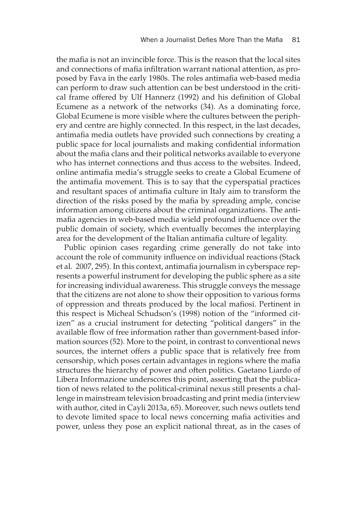the mafia is not an invincible force. This is the reason that the local sites and connections of mafia infiltration warrant national attention, as proposed by Fava in the early 1980s. The roles antimafia web-based media can perform to draw such attention can be best understood in the critical frame offered by Ulf Hannerz (1992) and his definition of Global Ecumene as a network of the networks (34). As a dominating force, Global Ecumene is more visible where the cultures between the periphery and centre are highly connected. In this respect, in the last decades, antimafia media outlets have provided such connections by creating a public space for local journalists and making confidential information about the mafia clans and their political networks available to everyone who has internet connections and thus access to the websites. Indeed, online antimafia media's struggle seeks to create a Global Ecumene of the antimafia movement. This is to say that the cyperspatial practices and resultant spaces of antimafia culture in Italy aim to transform the direction of the risks posed by the mafia by spreading ample, concise information among citizens about the criminal organizations. The antimafia agencies in web-based media wield profound influence over the public domain of society, which eventually becomes the interplaying area for the development of the Italian antimafia culture of legality.

Public opinion cases regarding crime generally do not take into account the role of community influence on individual reactions (Stack et al. 2007, 295). In this context, antimafia journalism in cyberspace represents a powerful instrument for developing the public sphere as a site for increasing individual awareness. This struggle conveys the message that the citizens are not alone to show their opposition to various forms of oppression and threats produced by the local mafiosi. Pertinent in this respect is Micheal Schudson's (1998) notion of the "informed citizen" as a crucial instrument for detecting "political dangers" in the available flow of free information rather than government-based information sources (52). More to the point, in contrast to conventional news sources, the internet offers a public space that is relatively free from censorship, which poses certain advantages in regions where the mafia structures the hierarchy of power and often politics. Gaetano Liardo of Libera Informazione underscores this point, asserting that the publication of news related to the political-criminal nexus still presents a challenge in mainstream television broadcasting and print media (interview with author, cited in Cayli 2013a, 65). Moreover, such news outlets tend to devote limited space to local news concerning mafia activities and power, unless they pose an explicit national threat, as in the cases of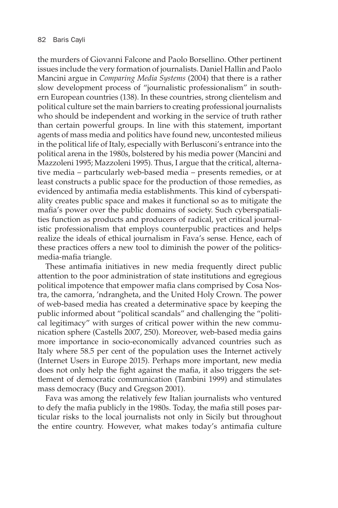the murders of Giovanni Falcone and Paolo Borsellino. Other pertinent issues include the very formation of journalists. Daniel Hallin and Paolo Mancini argue in *Comparing Media Systems* (2004) that there is a rather slow development process of "journalistic professionalism" in southern European countries (138). In these countries, strong clientelism and political culture set the main barriers to creating professional journalists who should be independent and working in the service of truth rather than certain powerful groups. In line with this statement, important agents of mass media and politics have found new, uncontested milieus in the political life of Italy, especially with Berlusconi's entrance into the political arena in the 1980s, bolstered by his media power (Mancini and Mazzoleni 1995; Mazzoleni 1995). Thus, I argue that the critical, alternative media – partıcularly web-based media – presents remedies, or at least constructs a public space for the production of those remedies, as evidenced by antimafia media establishments. This kind of cyberspatiality creates public space and makes it functional so as to mitigate the mafia's power over the public domains of society. Such cyberspatialities function as products and producers of radical, yet critical journalistic professionalism that employs counterpublic practices and helps realize the ideals of ethical journalism in Fava's sense. Hence, each of these practices offers a new tool to diminish the power of the politicsmedia-mafia triangle.

These antimafia initiatives in new media frequently direct public attention to the poor administration of state institutions and egregious political impotence that empower mafia clans comprised by Cosa Nostra, the camorra, 'ndrangheta, and the United Holy Crown. The power of web-based media has created a determinative space by keeping the public informed about "political scandals" and challenging the "political legitimacy" with surges of critical power within the new communication sphere (Castells 2007, 250). Moreover, web-based media gains more importance in socio-economically advanced countries such as Italy where 58.5 per cent of the population uses the Internet actively (Internet Users in Europe 2015). Perhaps more important, new media does not only help the fight against the mafia, it also triggers the settlement of democratic communication (Tambini 1999) and stimulates mass democracy (Bucy and Gregson 2001).

Fava was among the relatively few Italian journalists who ventured to defy the mafia publicly in the 1980s. Today, the mafia still poses particular risks to the local journalists not only in Sicily but throughout the entire country. However, what makes today's antimafia culture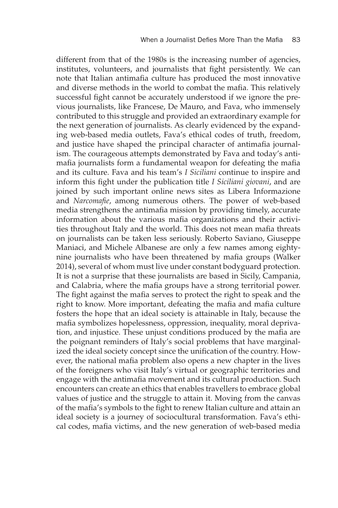different from that of the 1980s is the increasing number of agencies, institutes, volunteers, and journalists that fight persistently. We can note that Italian antimafia culture has produced the most innovative and diverse methods in the world to combat the mafia. This relatively successful fight cannot be accurately understood if we ignore the previous journalists, like Francese, De Mauro, and Fava, who immensely contributed to this struggle and provided an extraordinary example for the next generation of journalists. As clearly evidenced by the expanding web-based media outlets, Fava's ethical codes of truth, freedom, and justice have shaped the principal character of antimafia journalism. The courageous attempts demonstrated by Fava and today's antimafia journalists form a fundamental weapon for defeating the mafia and its culture. Fava and his team's *I Siciliani* continue to inspire and inform this fight under the publication title *I Siciliani giovani*, and are joined by such important online news sites as Libera Informazione and *Narcomafie*, among numerous others. The power of web-based media strengthens the antimafia mission by providing timely, accurate information about the various mafia organizations and their activities throughout Italy and the world. This does not mean mafia threats on journalists can be taken less seriously. Roberto Saviano, Giuseppe Maniaci, and Michele Albanese are only a few names among eightynine journalists who have been threatened by mafia groups (Walker 2014), several of whom must live under constant bodyguard protection. It is not a surprise that these journalists are based in Sicily, Campania, and Calabria, where the mafia groups have a strong territorial power. The fight against the mafia serves to protect the right to speak and the right to know. More important, defeating the mafia and mafia culture fosters the hope that an ideal society is attainable in Italy, because the mafia symbolizes hopelessness, oppression, inequality, moral deprivation, and injustice. These unjust conditions produced by the mafia are the poignant reminders of Italy's social problems that have marginalized the ideal society concept since the unification of the country. However, the national mafia problem also opens a new chapter in the lives of the foreigners who visit Italy's virtual or geographic territories and engage with the antimafia movement and its cultural production. Such encounters can create an ethics that enables travellers to embrace global values of justice and the struggle to attain it. Moving from the canvas of the mafia's symbols to the fight to renew Italian culture and attain an ideal society is a journey of sociocultural transformation. Fava's ethical codes, mafia victims, and the new generation of web-based media